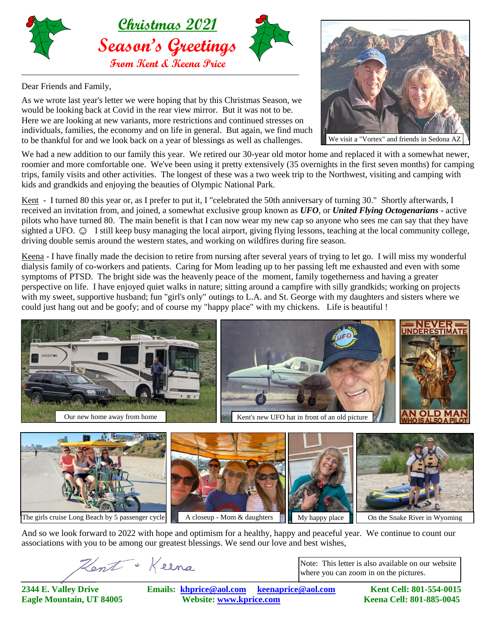

Dear Friends and Family,

As we wrote last year's letter we were hoping that by this Christmas Season, we would be looking back at Covid in the rear view mirror. But it was not to be. Here we are looking at new variants, more restrictions and continued stresses on individuals, families, the economy and on life in general. But again, we find much to be thankful for and we look back on a year of blessings as well as challenges.

We had a new addition to our family this year. We retired our 30-year old motor home and replaced it with a somewhat newer, roomier and more comfortable one. We've been using it pretty extensively (35 overnights in the first seven months) for camping trips, family visits and other activities. The longest of these was a two week trip to the Northwest, visiting and camping with kids and grandkids and enjoying the beauties of Olympic National Park.

Kent - I turned 80 this year or, as I prefer to put it, I "celebrated the 50th anniversary of turning 30." Shortly afterwards, I received an invitation from, and joined, a somewhat exclusive group known as *UFO*, or *United Flying Octogenarians* - active pilots who have turned 80. The main benefit is that I can now wear my new cap so anyone who sees me can say that they have sighted a UFO.  $\odot$  I still keep busy managing the local airport, giving flying lessons, teaching at the local community college, driving double semis around the western states, and working on wildfires during fire season.

Keena - I have finally made the decision to retire from nursing after several years of trying to let go. I will miss my wonderful dialysis family of co-workers and patients. Caring for Mom leading up to her passing left me exhausted and even with some symptoms of PTSD. The bright side was the heavenly peace of the moment, family togetherness and having a greater perspective on life. I have enjoyed quiet walks in nature; sitting around a campfire with silly grandkids; working on projects with my sweet, supportive husband; fun "girl's only" outings to L.A. and St. George with my daughters and sisters where we could just hang out and be goofy; and of course my "happy place" with my chickens. Life is beautiful !





And so we look forward to 2022 with hope and optimism for a healthy, happy and peaceful year. We continue to count our associations with you to be among our greatest blessings. We send our love and best wishes,

Hent + Keena

Note: This letter is also available on our website where you can zoom in on the pictures.

**2344 E. Valley Drive Emails: [khprice@aol.com keenaprice@aol.com](mailto:khprice@aol.com) Kent Cell: 801-554-0015 Eagle Mountain, UT 84005 Website: [www.kprice.com](mailto:khprice@aol.com) Keena Cell: 801-885-0045**



We visit a "Vortex" and friends in Sedona AZ